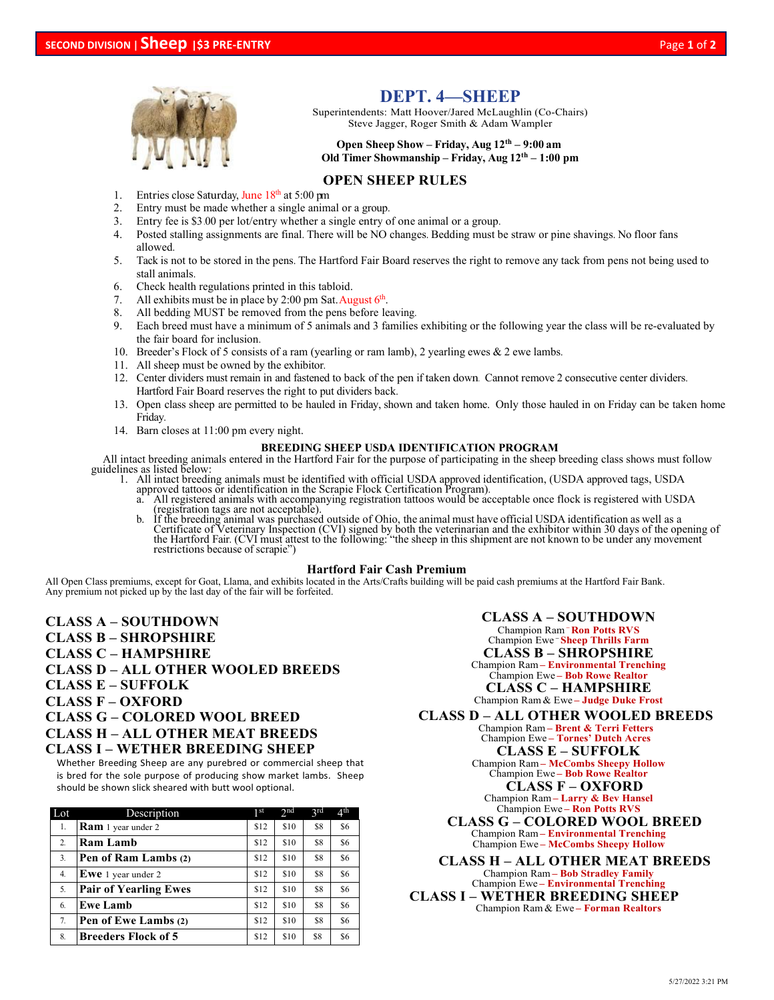

# **DEPT. 4—SHEEP**

Superintendents: Matt Hoover/Jared McLaughlin (Co-Chairs) Steve Jagger, Roger Smith & Adam Wampler

### **Open Sheep Show – Friday, Aug 12th – 9:00 am Old Timer Showmanship – Friday, Aug 12th – 1:00 pm**

# **OPEN SHEEP RULES**

- 1. Entries close Saturday, June 18<sup>th</sup> at 5:00 pm
- 2. Entry must be made whether a single animal or a group.
- 3. Entry fee is \$3.00 per lot/entry whether a single entry of one animal or a group.
- 4. Posted stalling assignments are final. There will be NO changes. Bedding must be straw or pine shavings. No floor fans allowed.
- 5. Tack is not to be stored in the pens. The Hartford Fair Board reserves the right to remove any tack from pens not being used to stall animals.
- 6. Check health regulations printed in this tabloid.
- 7. All exhibits must be in place by  $2:00 \text{ pm }$  Sat. August  $6<sup>th</sup>$ .
- 8. All bedding MUST be removed from the pens before leaving.
- 9. Each breed must have a minimum of 5 animals and 3 families exhibiting or the following year the class will be re-evaluated by the fair board for inclusion.
- 10. Breeder's Flock of 5 consists of a ram (yearling or ram lamb), 2 yearling ewes & 2 ewe lambs.
- 11. All sheep must be owned by the exhibitor.
- 12. Center dividers must remain in and fastened to back of the pen if taken down. Cannot remove 2 consecutive center dividers. Hartford Fair Board reserves the right to put dividers back.
- 13. Open class sheep are permitted to be hauled in Friday, shown and taken home. Only those hauled in on Friday can be taken home Friday.
- 14. Barn closes at 11:00 pm every night.

### **BREEDING SHEEP USDA IDENTIFICATION PROGRAM**

All intact breeding animals entered in the Hartford Fair for the purpose of participating in the sheep breeding class shows must follow guidelines as listed below:

- 1. All intact breeding animals must be identified with official USDA approved identification, (USDA approved tags, USDA
	-
	- approved tattoos or identification in the Scrapie Flock Certification Program).<br>
	a. All registered animals with accompanying registration tattoos would be acceptable once flock is registered with USDA<br>
	(registration tags a

### **Hartford Fair Cash Premium**

All Open Class premiums, except for Goat, Llama, and exhibits located in the Arts/Crafts building will be paid cash premiums at the Hartford Fair Bank. Any premium not picked up by the last day of the fair will be forfeited.

**CLASS A – SOUTHDOWN CLASS B – SHROPSHIRE CLASS C – HAMPSHIRE CLASS D – ALL OTHER WOOLED BREEDS CLASS E – SUFFOLK CLASS F – OXFORD CLASS G – COLORED WOOL BREED CLASS H – ALL OTHER MEAT BREEDS CLASS I – WETHER BREEDING SHEEP**

Whether Breeding Sheep are any purebred or commercial sheep that is bred for the sole purpose of producing show market lambs. Sheep should be shown slick sheared with butt wool optional.

| Lot | Description                  | 1 <sup>st</sup> | 2 <sub>nd</sub> | 3 <sup>rd</sup> | 4th |
|-----|------------------------------|-----------------|-----------------|-----------------|-----|
| 1.  | <b>Ram</b> 1 year under 2    | \$12            | \$10            | \$8             | \$6 |
| 2.  | <b>Ram Lamb</b>              | \$12            | \$10            | \$8             | \$6 |
| 3.  | Pen of Ram Lambs (2)         | \$12            | \$10            | \$8             | \$6 |
| 4.  | <b>Ewe</b> 1 year under 2    | \$12            | \$10            | \$8             | \$6 |
| 5.  | <b>Pair of Yearling Ewes</b> | \$12            | \$10            | \$8             | \$6 |
| 6.  | <b>Ewe Lamb</b>              | \$12            | \$10            | \$8             | \$6 |
| 7.  | Pen of Ewe Lambs (2)         | \$12            | \$10            | \$8             | \$6 |
| 8.  | <b>Breeders Flock of 5</b>   | \$12            | \$10            | \$8             | \$6 |

**CLASS A – SOUTHDOWN**

Champion Ram **– Ron Potts RVS** Champion Ewe **– Sheep Thrills Farm CLASS B – SHROPSHIRE** Champion Ram **– Environmental Trenching** Champion Ewe **– Bob Rowe Realtor CLASS C – HAMPSHIRE**  Champion Ram & Ewe **– Judge Duke Frost**

**CLASS D – ALL OTHER WOOLED BREEDS**  Champion Ram **– Brent & Terri Fetters** Champion Ewe **– Tornes' Dutch Acres**

**CLASS E – SUFFOLK**

Champion Ram **– McCombs Sheepy Hollow** Champion Ewe **– Bob Rowe Realtor CLASS F – OXFORD** 

Champion Ram **– Larry & Bev Hansel** Champion Ewe **– Ron Potts RVS**

**CLASS G – COLORED WOOL BREED**  Champion Ram **– Environmental Trenching** Champion Ewe **– McCombs Sheepy Hollow**

**CLASS H – ALL OTHER MEAT BREEDS** Champion Ram **– Bob Stradley Family** Champion Ewe **– Environmental Trenching CLASS I – WETHER BREEDING SHEEP**

Champion Ram & Ewe **– Forman Realtors**